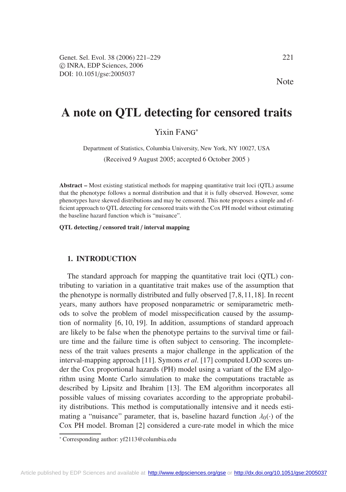Genet. Sel. Evol. 38 (2006) 221–229 221  $CD$  INRA, EDP Sciences, 2006 DOI: 10.1051/gse:2005037

Note

# **A note on QTL detecting for censored traits**

# Yixin Fang<sup>∗</sup>

Department of Statistics, Columbia University, New York, NY 10027, USA

(Received 9 August 2005; accepted 6 October 2005 )

**Abstract –** Most existing statistical methods for mapping quantitative trait loci (QTL) assume that the phenotype follows a normal distribution and that it is fully observed. However, some phenotypes have skewed distributions and may be censored. This note proposes a simple and efficient approach to QTL detecting for censored traits with the Cox PH model without estimating the baseline hazard function which is "nuisance".

**QTL detecting** / **censored trait** / **interval mapping**

## **1. INTRODUCTION**

The standard approach for mapping the quantitative trait loci (QTL) contributing to variation in a quantitative trait makes use of the assumption that the phenotype is normally distributed and fully observed [7,8,11,18]. In recent years, many authors have proposed nonparametric or semiparametric methods to solve the problem of model misspecification caused by the assumption of normality [6, 10, 19]. In addition, assumptions of standard approach are likely to be false when the phenotype pertains to the survival time or failure time and the failure time is often subject to censoring. The incompleteness of the trait values presents a major challenge in the application of the interval-mapping approach [11]. Symons *et al*. [17] computed LOD scores under the Cox proportional hazards (PH) model using a variant of the EM algorithm using Monte Carlo simulation to make the computations tractable as described by Lipsitz and Ibrahim [13]. The EM algorithm incorporates all possible values of missing covariates according to the appropriate probability distributions. This method is computationally intensive and it needs estimating a "nuisance" parameter, that is, baseline hazard function  $\lambda_0(\cdot)$  of the Cox PH model. Broman [2] considered a cure-rate model in which the mice

<sup>∗</sup> Corresponding author: yf2113@columbia.edu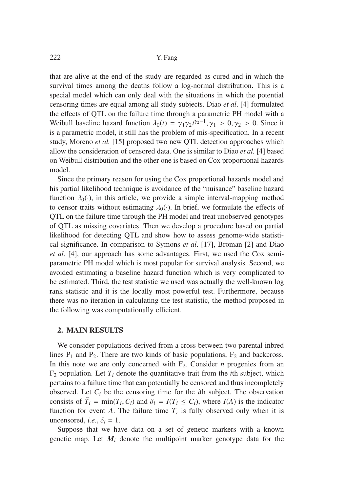that are alive at the end of the study are regarded as cured and in which the survival times among the deaths follow a log-normal distribution. This is a special model which can only deal with the situations in which the potential censoring times are equal among all study subjects. Diao *et al*. [4] formulated the effects of QTL on the failure time through a parametric PH model with a Weibull baseline hazard function  $\lambda_0(t) = \gamma_1 \gamma_2 t^{\gamma_2 - 1}, \gamma_1 > 0, \gamma_2 > 0$ . Since it is a parametric model, it still has the problem of mis-specification. In a recent study, Moreno *et al.* [15] proposed two new QTL detection approaches which allow the consideration of censored data. One is similar to Diao *et al.* [4] based on Weibull distribution and the other one is based on Cox proportional hazards model.

Since the primary reason for using the Cox proportional hazards model and his partial likelihood technique is avoidance of the "nuisance" baseline hazard function  $\lambda_0(\cdot)$ , in this article, we provide a simple interval-mapping method to censor traits without estimating  $\lambda_0(\cdot)$ . In brief, we formulate the effects of QTL on the failure time through the PH model and treat unobserved genotypes of QTL as missing covariates. Then we develop a procedure based on partial likelihood for detecting QTL and show how to assess genome-wide statistical significance. In comparison to Symons *et al*. [17], Broman [2] and Diao *et al*. [4], our approach has some advantages. First, we used the Cox semiparametric PH model which is most popular for survival analysis. Second, we avoided estimating a baseline hazard function which is very complicated to be estimated. Third, the test statistic we used was actually the well-known log rank statistic and it is the locally most powerful test. Furthermore, because there was no iteration in calculating the test statistic, the method proposed in the following was computationally efficient.

#### **2. MAIN RESULTS**

We consider populations derived from a cross between two parental inbred lines  $P_1$  and  $P_2$ . There are two kinds of basic populations,  $F_2$  and backcross. In this note we are only concerned with  $F_2$ . Consider *n* progenies from an  $F_2$  population. Let  $T_i$  denote the quantitative trait from the *i*th subject, which pertains to a failure time that can potentially be censored and thus incompletely observed. Let *Ci* be the censoring time for the *i*th subject. The observation consists of  $\tilde{T}_i = \min(T_i, C_i)$  and  $\delta_i = I(T_i \leq C_i)$ , where  $I(A)$  is the indicator function for event *A*. The failure time  $T_i$  is fully observed only when it is uncensored, *i.e.*,  $\delta_i = 1$ .

Suppose that we have data on a set of genetic markers with a known genetic map. Let  $M_i$  denote the multipoint marker genotype data for the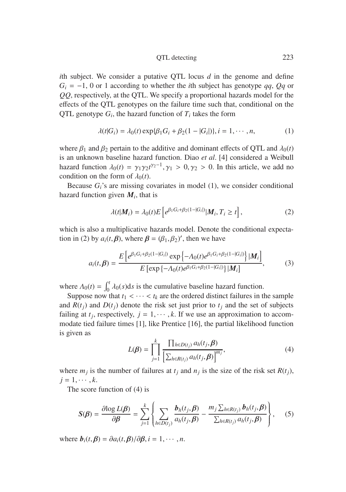*i*th subject. We consider a putative QTL locus *d* in the genome and define *Gi* = −1, 0 or 1 according to whether the *i*th subject has genotype *qq*, *Qq* or *QQ*, respectively, at the QTL. We specify a proportional hazards model for the effects of the QTL genotypes on the failure time such that, conditional on the QTL genotype  $G_i$ , the hazard function of  $T_i$  takes the form

$$
\lambda(t|G_i) = \lambda_0(t) \exp{\{\beta_1 G_i + \beta_2 (1 - |G_i|)\}}, i = 1, \cdots, n,
$$
 (1)

where  $\beta_1$  and  $\beta_2$  pertain to the additive and dominant effects of QTL and  $\lambda_0(t)$ is an unknown baseline hazard function. Diao *et al*. [4] considered a Weibull hazard function  $\lambda_0(t) = \gamma_1 \gamma_2 t^{\gamma_2 - 1}, \gamma_1 > 0, \gamma_2 > 0$ . In this article, we add no condition on the form of  $\lambda_0(t)$ .

Because  $G_i$ 's are missing covariates in model  $(1)$ , we consider conditional hazard function given  $M_i$ , that is

$$
\lambda(t|\boldsymbol{M}_i) = \lambda_0(t) E\left[e^{\beta_1 G_i + \beta_2 (1-|G_i|)} |\boldsymbol{M}_i, T_i \ge t\right],\tag{2}
$$

which is also a multiplicative hazards model. Denote the conditional expectation in (2) by  $a_i(t, \beta)$ , where  $\beta = (\beta_1, \beta_2)'$ , then we have

$$
a_i(t,\beta) = \frac{E\left[e^{\beta_1 G_i + \beta_2 (1 - |G_i|)} \exp\left\{-\Lambda_0(t)e^{\beta_1 G_i + \beta_2 (1 - |G_i|)}\right\}|M_i\right]}{E\left[\exp\left\{-\Lambda_0(t)e^{\beta_1 G_i + \beta_2 (1 - |G_i|)}\right\}|M_i\right]},
$$
(3)

where  $\Lambda_0(t) = \int_0^t \lambda_0(s) ds$  is the cumulative baseline hazard function.

Suppose now that  $t_1 < \cdots < t_k$  are the ordered distinct failures in the sample and  $R(t_j)$  and  $D(t_j)$  denote the risk set just prior to  $t_j$  and the set of subjects failing at  $t_j$ , respectively,  $j = 1, \dots, k$ . If we use an approximation to accommodate tied failure times [1], like Prentice [16], the partial likelihood function is given as

$$
L(\boldsymbol{\beta}) = \prod_{j=1}^{k} \frac{\prod_{h \in D(t_j)} a_h(t_j, \boldsymbol{\beta})}{\left[\sum_{h \in R(t_j)} a_h(t_j, \boldsymbol{\beta})\right]^{m_j}},
$$
\n(4)

where  $m_j$  is the number of failures at  $t_j$  and  $n_j$  is the size of the risk set  $R(t_j)$ ,  $j = 1, \cdots, k$ .

The score function of (4) is

$$
S(\boldsymbol{\beta}) = \frac{\partial \log L(\boldsymbol{\beta})}{\partial \boldsymbol{\beta}} = \sum_{j=1}^{k} \left\{ \sum_{h \in D(t_j)} \frac{\boldsymbol{b}_h(t_j, \boldsymbol{\beta})}{a_h(t_j, \boldsymbol{\beta})} - \frac{m_j \sum_{h \in R(t_j)} \boldsymbol{b}_h(t_j, \boldsymbol{\beta})}{\sum_{h \in R(t_j)} a_h(t_j, \boldsymbol{\beta})} \right\}, \quad (5)
$$

where  $\mathbf{b}_i(t, \boldsymbol{\beta}) = \partial a_i(t, \boldsymbol{\beta}) / \partial \boldsymbol{\beta}, i = 1, \cdots, n$ .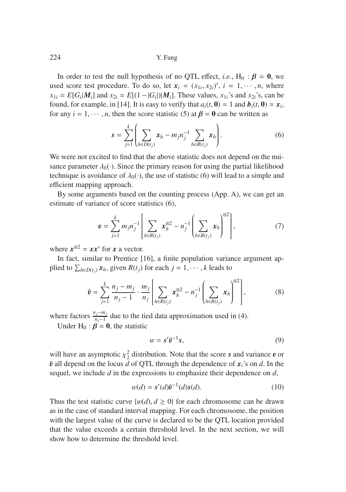In order to test the null hypothesis of no QTL effect, *i.e.*, H<sub>0</sub> :  $\beta = 0$ , we used score test procedure. To do so, let  $x_i = (x_{1i}, x_{2i})'$ ,  $i = 1, \dots, n$ , where  $x_{1i} = E[G_i|M_i]$  and  $x_{2i} = E[(1 - |G_i|)|M_i]$ . These values,  $x_{1i}$ 's and  $x_{2i}$ 's, can be found, for example, in [14]. It is easy to verify that  $a_i(t, 0) = 1$  and  $b_i(t, 0) = x_i$ , for any  $i = 1, \dots, n$ , then the score statistic (5) at  $\beta = 0$  can be written as

$$
s = \sum_{j=1}^{k} \left( \sum_{h \in D(t_j)} x_h - m_j n_j^{-1} \sum_{h \in R(t_j)} x_h \right).
$$
 (6)

We were not excited to find that the above statistic does not depend on the nuisance parameter  $\lambda_0(\cdot)$ . Since the primary reason for using the partial likelihood technique is avoidance of  $\lambda_0(\cdot)$ , the use of statistic (6) will lead to a simple and efficient mapping approach.

By some arguments based on the counting process (App. A), we can get an estimate of variance of score statistics (6),

$$
\mathbf{v} = \sum_{j=1}^{k} m_j n_j^{-1} \left[ \sum_{h \in R(t_j)} x_h^{\otimes 2} - n_j^{-1} \left( \sum_{h \in R(t_j)} x_h \right)^{\otimes 2} \right],
$$
 (7)

where  $x^{\otimes 2} = xx'$  for *x* a vector.

In fact, similar to Prentice [16], a finite population variance argument applied to  $\sum_{h \in D(t_j)} x_h$ , given  $R(t_j)$  for each  $j = 1, \dots, k$  leads to

$$
\tilde{v} = \sum_{j=1}^{k} \frac{n_j - m_j}{n_j - 1} \cdot \frac{m_j}{n_j} \left[ \sum_{h \in R(t_j)} x_h^{\otimes 2} - n_j^{-1} \left( \sum_{h \in R(t_j)} x_h \right)^{\otimes 2} \right],
$$
 (8)

where factors  $\frac{n_j - m_j}{n_j - 1}$  due to the tied data approximation used in (4).

Under  $H_0$ :  $\beta = 0$ , the statistic

$$
w = s'\tilde{v}^{-1}s,
$$
\n(9)

will have an asymptotic  $\chi^2$  distribution. Note that the score *s* and variance *v* or  $\chi^2$  or defined on the locus d of OTI, through the dependence of  $\chi^2$  on d. In the  $\tilde{v}$  all depend on the locus  $\tilde{d}$  of QTL through the dependence of  $x_i$ 's on  $d$ . In the sequel, we include *d* in the expressions to emphasize their dependence on *d*,

$$
w(d) = s'(d)\tilde{v}^{-1}(d)s(d). \tag{10}
$$

Thus the test statistic curve  $\{w(d), d \ge 0\}$  for each chromosome can be drawn as in the case of standard interval mapping. For each chromosome, the position with the largest value of the curve is declared to be the QTL location provided that the value exceeds a certain threshold level. In the next section, we will show how to determine the threshold level.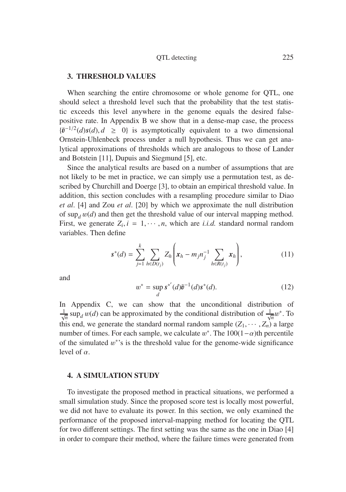### **3. THRESHOLD VALUES**

When searching the entire chromosome or whole genome for QTL, one should select a threshold level such that the probability that the test statistic exceeds this level anywhere in the genome equals the desired falsepositive rate. In Appendix B we show that in a dense-map case, the process  ${\tilde{v}^{-1/2}(d)s(d), d \geq 0}$  is asymptotically equivalent to a two dimensional<br>Organization-Uhlenbeck process under a null hypothesis. Thus we can get an Ornstein-Uhlenbeck process under a null hypothesis. Thus we can get analytical approximations of thresholds which are analogous to those of Lander and Botstein [11], Dupuis and Siegmund [5], etc.

Since the analytical results are based on a number of assumptions that are not likely to be met in practice, we can simply use a permutation test, as described by Churchill and Doerge [3], to obtain an empirical threshold value. In addition, this section concludes with a resampling procedure similar to Diao *et al*. [4] and Zou *et al*. [20] by which we approximate the null distribution of  $\sup_d w(d)$  and then get the threshold value of our interval mapping method. First, we generate  $Z_i$ ,  $i = 1, \dots, n$ , which are *i.i.d.* standard normal random variables. Then define

$$
s^*(d) = \sum_{j=1}^k \sum_{h \in D(t_j)} Z_h \left( x_h - m_j n_j^{-1} \sum_{h \in R(t_j)} x_h \right), \tag{11}
$$

and

$$
w^* = \sup_{d} s^{*'}(d)\tilde{v}^{-1}(d)s^*(d). \tag{12}
$$

In Appendix C, we can show that the unconditional distribution of  $\frac{1}{\sqrt{n}}$  sup<sub>*d*</sub> w(*d*) can be approximated by the conditional distribution of  $\frac{1}{\sqrt{n}}w^*$ . To this end, we generate the standard normal random sample  $(Z_1, \dots, Z_n)$  a large number of times. For each sample, we calculate  $w^*$ . The  $100(1-\alpha)$ th percentile of the simulated  $w^*$ 's is the threshold value for the genome-wide significance level of  $\alpha$ .

#### **4. A SIMULATION STUDY**

To investigate the proposed method in practical situations, we performed a small simulation study. Since the proposed score test is locally most powerful, we did not have to evaluate its power. In this section, we only examined the performance of the proposed interval-mapping method for locating the QTL for two different settings. The first setting was the same as the one in Diao [4] in order to compare their method, where the failure times were generated from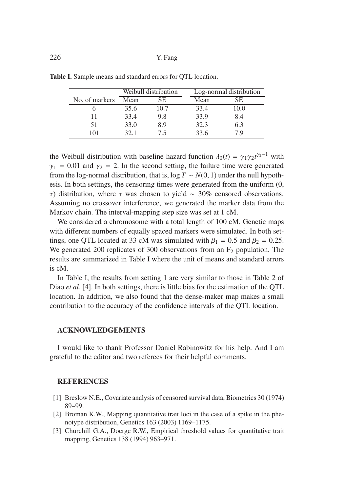|                | Weibull distribution |      | Log-normal distribution |      |
|----------------|----------------------|------|-------------------------|------|
| No. of markers | Mean                 | SE.  | Mean                    | SE.  |
|                | 35.6                 | 10.7 | 33.4                    | 10.0 |
| 11             | 33.4                 | 9.8  | 33.9                    | 8.4  |
| 51             | 33.0                 | 8.9  | 32.3                    | 6.3  |
| 101            | 32 1                 | 75   | 33.6                    | 7 Q  |

**Table I.** Sample means and standard errors for QTL location.

the Weibull distribution with baseline hazard function  $\lambda_0(t) = \gamma_1 \gamma_2 t^{\gamma_2 - 1}$  with  $\gamma_1 = 0.01$  and  $\gamma_2 = 2$ . In the second setting, the failure time were generated from the log-normal distribution, that is,  $\log T \sim N(0, 1)$  under the null hypothesis. In both settings, the censoring times were generated from the uniform (0, τ) distribution, where τ was chosen to yield ∼ 30% censored observations. Assuming no crossover interference, we generated the marker data from the Markov chain. The interval-mapping step size was set at 1 cM.

We considered a chromosome with a total length of 100 cM. Genetic maps with different numbers of equally spaced markers were simulated. In both settings, one QTL located at 33 cM was simulated with  $\beta_1 = 0.5$  and  $\beta_2 = 0.25$ . We generated 200 replicates of 300 observations from an  $F_2$  population. The results are summarized in Table I where the unit of means and standard errors is cM.

In Table I, the results from setting 1 are very similar to those in Table 2 of Diao *et al.* [4]. In both settings, there is little bias for the estimation of the OTL location. In addition, we also found that the dense-maker map makes a small contribution to the accuracy of the confidence intervals of the QTL location.

## **ACKNOWLEDGEMENTS**

I would like to thank Professor Daniel Rabinowitz for his help. And I am grateful to the editor and two referees for their helpful comments.

#### **REFERENCES**

- [1] Breslow N.E., Covariate analysis of censored survival data, Biometrics 30 (1974) 89–99.
- [2] Broman K.W., Mapping quantitative trait loci in the case of a spike in the phenotype distribution, Genetics 163 (2003) 1169–1175.
- [3] Churchill G.A., Doerge R.W., Empirical threshold values for quantitative trait mapping, Genetics 138 (1994) 963–971.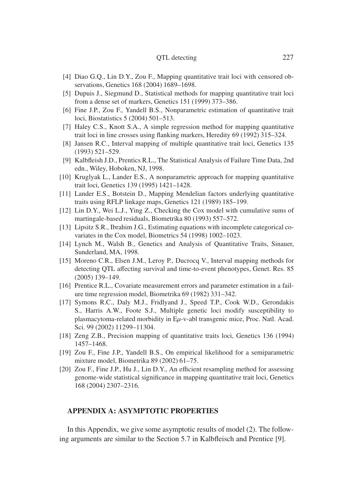- [4] Diao G.Q., Lin D.Y., Zou F., Mapping quantitative trait loci with censored observations, Genetics 168 (2004) 1689–1698.
- [5] Dupuis J., Siegmund D., Statistical methods for mapping quantitative trait loci from a dense set of markers, Genetics 151 (1999) 373–386.
- [6] Fine J.P., Zou F., Yandell B.S., Nonparametric estimation of quantitative trait loci, Biostatistics 5 (2004) 501–513.
- [7] Haley C.S., Knott S.A., A simple regression method for mapping quantitative trait loci in line crosses using flanking markers, Heredity 69 (1992) 315–324.
- [8] Jansen R.C., Interval mapping of multiple quantitative trait loci, Genetics 135 (1993) 521–529.
- [9] Kalbfleish J.D., Prentics R.L., The Statistical Analysis of Failure Time Data, 2nd edn., Wiley, Hoboken, NJ, 1998.
- [10] Kruglyak L., Lander E.S., A nonparametric approach for mapping quantitative trait loci, Genetics 139 (1995) 1421–1428.
- [11] Lander E.S., Botstein D., Mapping Mendelian factors underlying quantitative traits using RFLP linkage maps, Genetics 121 (1989) 185–199.
- [12] Lin D.Y., Wei L.J., Ying Z., Checking the Cox model with cumulative sums of martingale-based residuals, Biometrika 80 (1993) 557–572.
- [13] Lipsitz S.R., Ibrahim J.G., Estimating equations with incomplete categorical covariates in the Cox model, Biometrics 54 (1998) 1002–1023.
- [14] Lynch M., Walsh B., Genetics and Analysis of Quantitative Traits, Sinauer, Sunderland, MA, 1998.
- [15] Moreno C.R., Elsen J.M., Leroy P., Ducrocq V., Interval mapping methods for detecting QTL affecting survival and time-to-event phenotypes, Genet. Res. 85 (2005) 139–149.
- [16] Prentice R.L., Covariate measurement errors and parameter estimation in a failure time regression model, Biometrika 69 (1982) 331–342.
- [17] Symons R.C., Daly M.J., Fridlyand J., Speed T.P., Cook W.D., Gerondakis S., Harris A.W., Foote S.J., Multiple genetic loci modify susceptibility to plasmacytoma-related morbidity in Eμ-v-abl transgenic mice, Proc. Natl. Acad. Sci. 99 (2002) 11299–11304.
- [18] Zeng Z.B., Precision mapping of quantitative traits loci, Genetics 136 (1994) 1457–1468.
- [19] Zou F., Fine J.P., Yandell B.S., On empirical likelihood for a semiparametric mixture model, Biometrika 89 (2002) 61–75.
- [20] Zou F., Fine J.P., Hu J., Lin D.Y., An efficient resampling method for assessing genome-wide statistical significance in mapping quantitative trait loci, Genetics 168 (2004) 2307–2316.

## **APPENDIX A: ASYMPTOTIC PROPERTIES**

In this Appendix, we give some asymptotic results of model (2). The following arguments are similar to the Section 5.7 in Kalbfleisch and Prentice [9].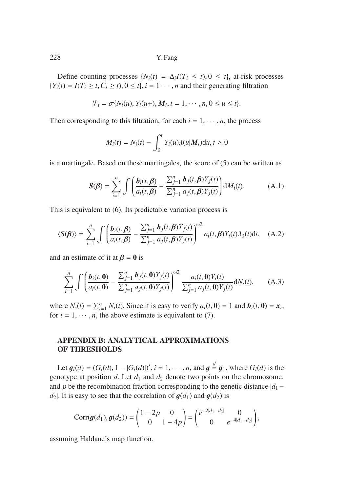Define counting processes  $\{N_i(t) = \Delta_i I(T_i \leq t), 0 \leq t\}$ , at-risk processes  ${Y_i(t) = I(T_i \ge t, C_t \ge t), 0 \le t}, i = 1 \cdots, n$  and their generating filtration

$$
\mathcal{F}_t = \sigma\{N_i(u), Y_i(u+), M_i, i = 1, \cdots, n, 0 \le u \le t\}.
$$

Then corresponding to this filtration, for each  $i = 1, \dots, n$ , the process

$$
M_i(t) = N_i(t) - \int_0^t Y_i(u)\lambda(u|M_i) \mathrm{d}u, t \ge 0
$$

is a martingale. Based on these martingales, the score of (5) can be written as

$$
S(\beta) = \sum_{i=1}^{n} \int \left( \frac{b_i(t,\beta)}{a_i(t,\beta)} - \frac{\sum_{j=1}^{n} b_j(t,\beta) Y_j(t)}{\sum_{j=1}^{n} a_j(t,\beta) Y_j(t)} \right) dM_i(t).
$$
 (A.1)

This is equivalent to (6). Its predictable variation process is

$$
\langle S(\boldsymbol{\beta}) \rangle = \sum_{i=1}^{n} \int \left( \frac{\boldsymbol{b}_{i}(t,\boldsymbol{\beta})}{a_{i}(t,\boldsymbol{\beta})} - \frac{\sum_{j=1}^{n} \boldsymbol{b}_{j}(t,\boldsymbol{\beta}) Y_{j}(t)}{\sum_{j=1}^{n} a_{j}(t,\boldsymbol{\beta}) Y_{j}(t)} \right)^{\otimes 2} a_{i}(t,\boldsymbol{\beta}) Y_{i}(t) \lambda_{0}(t) \mathrm{d}t, \quad (A.2)
$$

and an estimate of it at  $\beta = 0$  is

$$
\sum_{i=1}^{n} \int \left( \frac{\boldsymbol{b}_{i}(t, \boldsymbol{0})}{a_{i}(t, \boldsymbol{0})} - \frac{\sum_{j=1}^{n} \boldsymbol{b}_{j}(t, \boldsymbol{0}) Y_{j}(t)}{\sum_{j=1}^{n} a_{j}(t, \boldsymbol{0}) Y_{j}(t)} \right)^{\otimes 2} \frac{a_{i}(t, \boldsymbol{0}) Y_{i}(t)}{\sum_{j=1}^{n} a_{j}(t, \boldsymbol{0}) Y_{j}(t)} dN.(t), \qquad (A.3)
$$

where  $N(t) = \sum_{i=1}^{n} N_i(t)$ . Since it is easy to verify  $a_i(t, \mathbf{0}) = 1$  and  $b_i(t, \mathbf{0}) = x_i$ , for  $i = 1, \dots, n$ , the above estimate is equivalent to (7).

# **APPENDIX B: ANALYTICAL APPROXIMATIONS OF THRESHOLDS**

Let  $g_i(d) = (G_i(d), 1 - |G_i(d)|)'$ ,  $i = 1, \dots, n$ , and  $g \stackrel{d}{=} g_1$ , where  $G_i(d)$  is the notion *d* I et *d<sub>i</sub>* and *d<sub>2</sub>* denote two points on the chromosome genotype at position *d*. Let  $d_1$  and  $d_2$  denote two points on the chromosome, and *p* be the recombination fraction corresponding to the genetic distance |*d*<sub>1</sub> − *d*<sub>2</sub>. It is easy to see that the correlation of  $q(d_1)$  and  $q(d_2)$  is

$$
Corr(g(d_1), g(d_2)) = \begin{pmatrix} 1 - 2p & 0 \ 0 & 1 - 4p \end{pmatrix} = \begin{pmatrix} e^{-2|d_1 - d_2|} & 0 \ 0 & e^{-4|d_1 - d_2|} \end{pmatrix},
$$

assuming Haldane's map function.